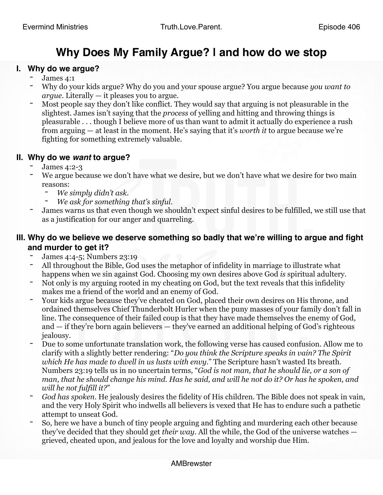# **Why Does My Family Argue? | and how do we stop**

### **I. Why do we argue?**

- James 4:1
- Why do your kids argue? Why do you and your spouse argue? You argue because *you want to argue*. Literally — it pleases you to argue.
- Most people say they don't like conflict. They would say that arguing is not pleasurable in the slightest. James isn't saying that the *process* of yelling and hitting and throwing things is pleasurable . . . though I believe more of us than want to admit it actually do experience a rush from arguing — at least in the moment. He's saying that it's *worth it* to argue because we're fighting for something extremely valuable.

# **II. Why do we** *want* **to argue?**<br>- James 4:2-3

- 
- We argue because we don't have what we desire, but we don't have what we desire for two main reasons:
	- *We simply didn't ask*.
	- *We ask for something that's sinful*.
- James warns us that even though we shouldn't expect sinful desires to be fulfilled, we still use that as a justification for our anger and quarreling.

# **III. Why do we believe we deserve something so badly that we're willing to argue and fight and murder to get it?**

- James 4:4-5; Numbers 23:19
- All throughout the Bible, God uses the metaphor of infidelity in marriage to illustrate what happens when we sin against God. Choosing my own desires above God *is* spiritual adultery.
- Not only is my arguing rooted in my cheating on God, but the text reveals that this infidelity makes me a friend of the world and an enemy of God.
- Your kids argue because they've cheated on God, placed their own desires on His throne, and ordained themselves Chief Thunderbolt Hurler when the puny masses of your family don't fall in line. The consequence of their failed coup is that they have made themselves the enemy of God, and — if they're born again believers — they've earned an additional helping of God's righteous jealousy.
- Due to some unfortunate translation work, the following verse has caused confusion. Allow me to clarify with a slightly better rendering: "*Do you think the Scripture speaks in vain? The Spirit which He has made to dwell in us lusts with envy*." The Scripture hasn't wasted Its breath. Numbers 23:19 tells us in no uncertain terms, "*God is not man, that he should lie, or a son of man, that he should change his mind. Has he said, and will he not do it? Or has he spoken, and will he not fulfill it?*"
- *God has spoken*. He jealously desires the fidelity of His children. The Bible does not speak in vain, and the very Holy Spirit who indwells all believers is vexed that He has to endure such a pathetic attempt to unseat God.
- So, here we have a bunch of tiny people arguing and fighting and murdering each other because they've decided that they should get *their way*. All the while, the God of the universe watches grieved, cheated upon, and jealous for the love and loyalty and worship due Him.

#### AMBrewster